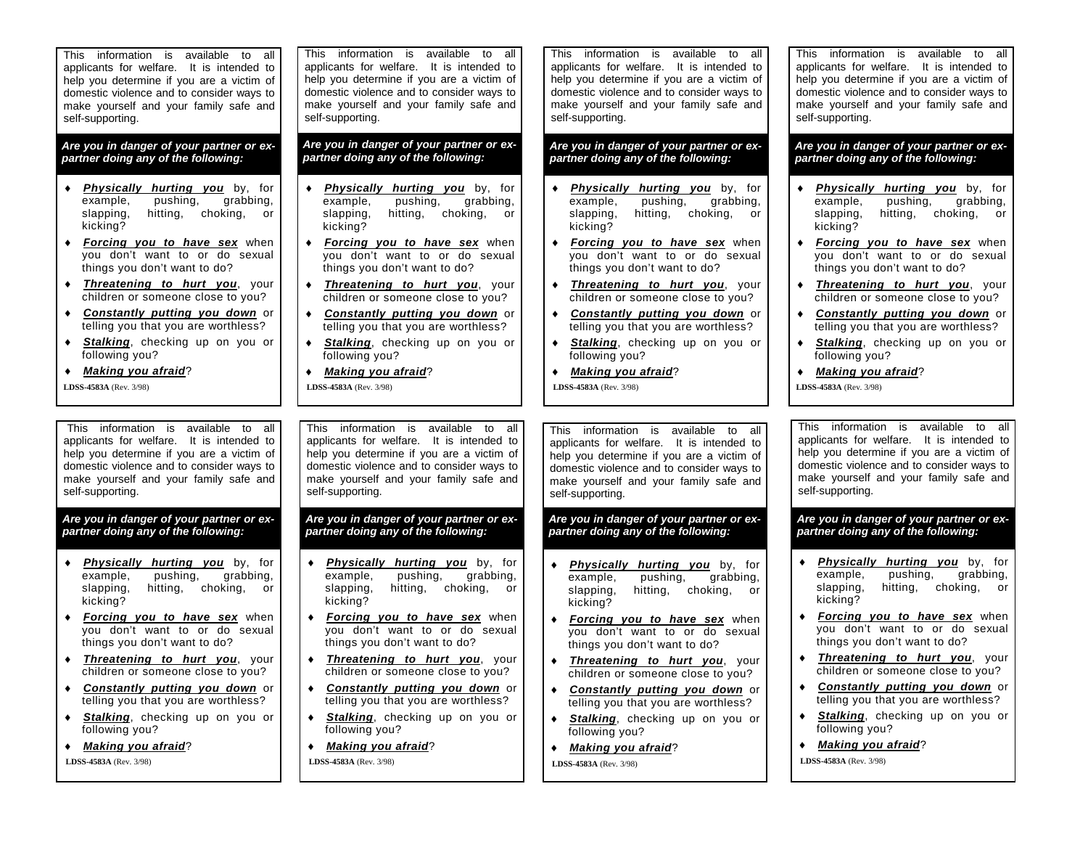This information is available to allapplicants for welfare. It is intended to help you determine if you are a victim of domestic violence and to consider ways to make yourself and your family safe and self-supporting.

# *Are you in danger of your partner or ex-*

- *Physically hurting you* by, for example, pushing, grabbing, slapping, hitting, choking, or kicking?
- *Forcing you to have sex* when you don't want to or do sexual things you don't want to do?
- *Threatening to hurt you*, your children or someone close to you?
- $\bullet$  *Constantly putting you down* or telling you that you are worthless?
- $\blacklozenge$ **Stalking**, checking up on you or following you?

 *Making you afraid*? **LDSS-4583A** (Rev. 3/98)

This information is available to allapplicants for welfare. It is intended to help you determine if you are a victim of domestic violence and to consider ways to make yourself and your family safe and self-supporting.

- *Physically hurting you* by, for example, pushing, grabbing, slapping, hitting, choking, or kicking?
- $\bullet$  *Forcing you to have sex* when you don't want to or do sexual things you don't want to do?
- $\bullet$  *Threatening to hurt you*, your children or someone close to you?
- $\bullet$  *Constantly putting you down* or telling you that you are worthless?
- $\bullet$ **Stalking**, checking up on you or following you?

 $\bullet$ *Making you afraid*?

 **LDSS-4583A** (Rev. 3/98)

This information is available to all applicants for welfare. It is intended to help you determine if you are a victim of domestic violence and to consider ways to make yourself and your family safe and self-supporting.

- *Physically hurting you* by, for example, pushing, grabbing,<br>slapping, hitting, choking, or hitting, choking, or kicking?
- *Forcing you to have sex* when you don't want to or do sexual things you don't want to do?
- *Threatening to hurt you*, your children or someone close to you?
- *Constantly putting you down* or telling you that you are worthless?
- $\bullet$ **Stalking**, checking up on you or following you?
- *Making you afraid*?  **LDSS-4583A** (Rev. 3/98)

٠

This information is available to allapplicants for welfare. It is intended to help you determine if you are a victim of domestic violence and to consider ways to make yourself and your family safe and self-supporting.

- *Physically hurting you* by, for example, pushing, grabbing, slapping, hitting, choking, or kicking?
- $\bullet$  *Forcing you to have sex* when you don't want to or do sexual things you don't want to do?
- $\bullet$  *Threatening to hurt you*, your children or someone close to you?
- *Constantly putting you down* or telling you that you are worthless?
- $\bullet$ **Stalking**, checking up on you or following you?

 $\bullet$  *Making you afraid*?  **LDSS-4583A** (Rev. 3/98)

This information is available to allapplicants for welfare. It is intended to help you determine if you are a victim of domestic violence and to consider ways to make yourself and your family safe and self-supporting.

Are you in danger of your partner or ex-<br>Are you in danger of your partner or ex-<br>partner doing any of the following: partner doing any of the following: partner doing any of the following:

- *Physically hurting you* by, for example, pushing, grabbing,<br>slapping, hitting, choking, or hitting, choking, or kicking?
- *Forcing you to have sex* when you don't want to or do sexual things you don't want to do?
- *Threatening to hurt you*, your children or someone close to you?
- ٠ *Constantly putting you down* or telling you that you are worthless?
- ٠ **Stalking**, checking up on you or following you?
- ٠ *Making you afraid*?

 **LDSS-4583A** (Rev. 3/98)

This information is available to allapplicants for welfare. It is intended to help you determine if you are a victim of domestic violence and to consider ways to make yourself and your family safe and self-supporting.

Are you in danger of your partner or ex-<br>
partner doing any of the following:<br>
partner doing any of the following:<br>
partner doing any of the following:

- *Physically hurting you* by, for example, pushing, grabbing,<br>slapping, hitting, choking, or hitting, choking, or kicking?
- *Forcing you to have sex* when you don't want to or do sexual things you don't want to do?
- $\bullet$ *Threatening to hurt you*, your children or someone close to you?
- $\bullet$  *Constantly putting you down* or telling you that you are worthless?
- $\bullet$ **Stalking**, checking up on you or following you?

 *Making you afraid*?  **LDSS-4583A** (Rev. 3/98)

This information is available to allapplicants for welfare. It is intended to help you determine if you are a victim of domestic violence and to consider ways to make yourself and your family safe and self-supporting.

- $\bullet$  *Physically hurting you* by, for example, pushing, grabbing,<br>slapping, hitting, choking, or hitting, choking, or kicking?
- *Forcing you to have sex* when you don't want to or do sexual things you don't want to do?
- $\bullet$ *Threatening to hurt you, your* children or someone close to you?
- ٠ *Constantly putting you down* or telling you that you are worthless?
- $\bullet$ **Stalking**, checking up on you or following you?
- $\bullet$ *Making you afraid*?

**LDSS-4583A** (Rev. 3/98)

This information is available to allapplicants for welfare. It is intended to help you determine if you are a victim of domestic violence and to consider ways to make yourself and your family safe and self-supporting.

*Are you in danger of your partner or ex-*

- *Physically hurting you* by, for example, pushing, grabbing, slapping, hitting, choking, or kicking?
- *Forcing you to have sex* when you don't want to or do sexual things you don't want to do?
- *Threatening to hurt you*, your children or someone close to you?
- *Constantly putting you down* or telling you that you are worthless?
- *Stalking*, checking up on you or following you?
- *Making you afraid*?

 **LDSS-4583A** (Rev. 3/98)